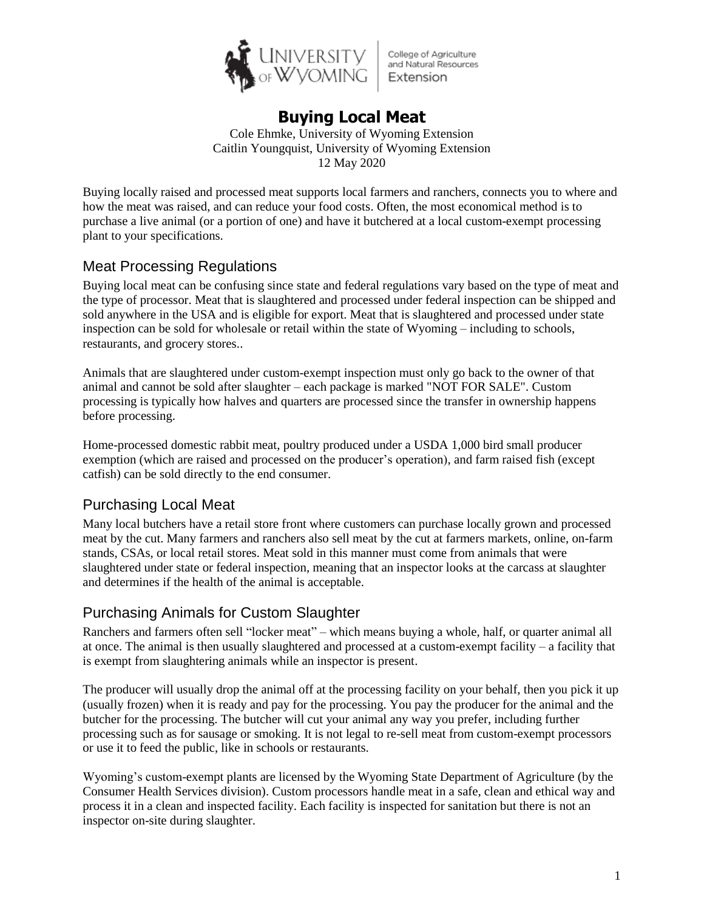

College of Agriculture and Natural Resources Extension

# **Buying Local Meat**

Cole Ehmke, University of Wyoming Extension Caitlin Youngquist, University of Wyoming Extension 12 May 2020

Buying locally raised and processed meat supports local farmers and ranchers, connects you to where and how the meat was raised, and can reduce your food costs. Often, the most economical method is to purchase a live animal (or a portion of one) and have it butchered at a local custom-exempt processing plant to your specifications.

## Meat Processing Regulations

Buying local meat can be confusing since state and federal regulations vary based on the type of meat and the type of processor. Meat that is slaughtered and processed under federal inspection can be shipped and sold anywhere in the USA and is eligible for export. Meat that is slaughtered and processed under state inspection can be sold for wholesale or retail within the state of Wyoming – including to schools, restaurants, and grocery stores..

Animals that are slaughtered under custom-exempt inspection must only go back to the owner of that animal and cannot be sold after slaughter – each package is marked "NOT FOR SALE". Custom processing is typically how halves and quarters are processed since the transfer in ownership happens before processing.

Home-processed domestic rabbit meat, poultry produced under a USDA 1,000 bird small producer exemption (which are raised and processed on the producer's operation), and farm raised fish (except catfish) can be sold directly to the end consumer.

## Purchasing Local Meat

Many local butchers have a retail store front where customers can purchase locally grown and processed meat by the cut. Many farmers and ranchers also sell meat by the cut at farmers markets, online, on-farm stands, CSAs, or local retail stores. Meat sold in this manner must come from animals that were slaughtered under state or federal inspection, meaning that an inspector looks at the carcass at slaughter and determines if the health of the animal is acceptable.

#### Purchasing Animals for Custom Slaughter

Ranchers and farmers often sell "locker meat" – which means buying a whole, half, or quarter animal all at once. The animal is then usually slaughtered and processed at a custom-exempt facility – a facility that is exempt from slaughtering animals while an inspector is present.

The producer will usually drop the animal off at the processing facility on your behalf, then you pick it up (usually frozen) when it is ready and pay for the processing. You pay the producer for the animal and the butcher for the processing. The butcher will cut your animal any way you prefer, including further processing such as for sausage or smoking. It is not legal to re-sell meat from custom-exempt processors or use it to feed the public, like in schools or restaurants.

Wyoming's custom-exempt plants are licensed by the Wyoming State Department of Agriculture (by the Consumer Health Services division). Custom processors handle meat in a safe, clean and ethical way and process it in a clean and inspected facility. Each facility is inspected for sanitation but there is not an inspector on-site during slaughter.